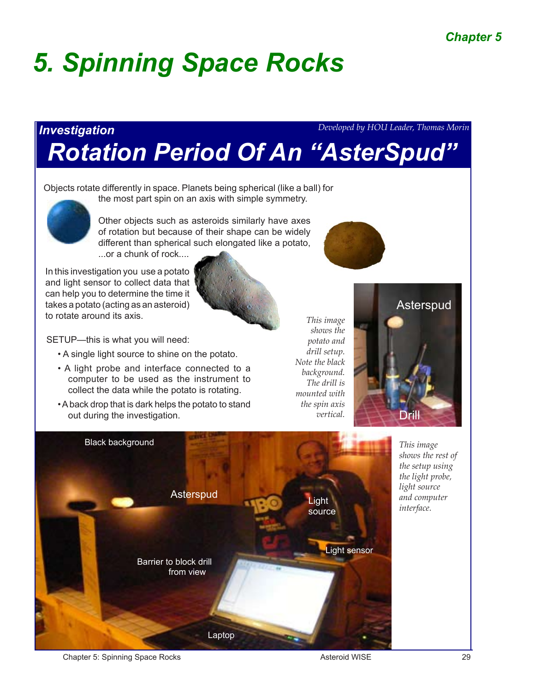# *5. Spinning Space Rocks*

### *Investigation Rotation Period Of An "AsterSpud" Developed by HOU Leader, Thomas Morin*

Objects rotate differently in space. Planets being spherical (like a ball) for the most part spin on an axis with simple symmetry.



Other objects such as asteroids similarly have axes of rotation but because of their shape can be widely different than spherical such elongated like a potato,

...or a chunk of rock....

In this investigation you use a potato and light sensor to collect data that can help you to determine the time it takes a potato (acting as an asteroid) to rotate around its axis.

SETUP—this is what you will need:

- A single light source to shine on the potato.
- A light probe and interface connected to a computer to be used as the instrument to collect the data while the potato is rotating.
- A back drop that is dark helps the potato to stand out during the investigation.

*shows the potato and drill setup. Note the black background. The drill is mounted with the spin axis vertical.*

*This image* 



*This image shows the rest of the setup using the light probe, light source and computer interface.*



Chapter 5: Spinning Space Rocks **Asteroid WISE** 29